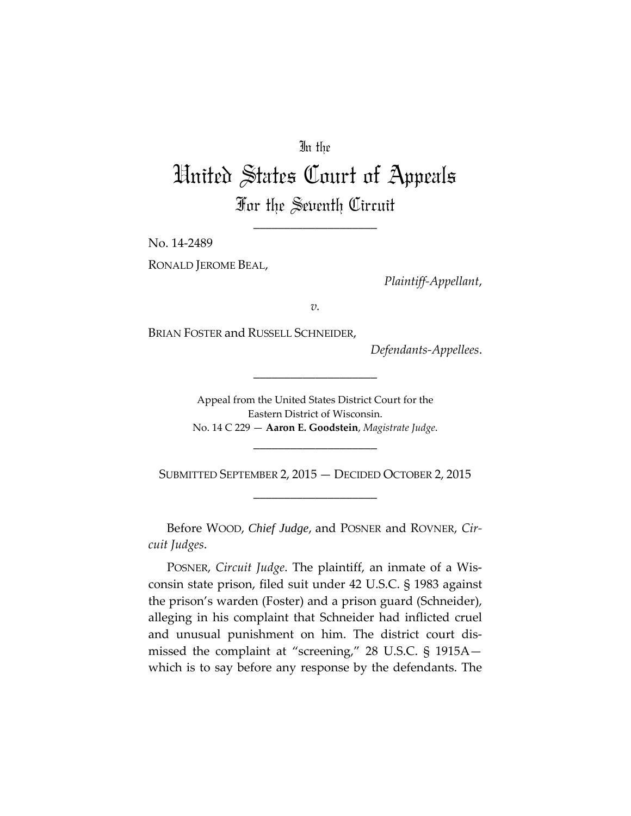## In the

## United States Court of Appeals For the Seventh Circuit

\_\_\_\_\_\_\_\_\_\_\_\_\_\_\_\_\_\_\_\_

No. 14-2489

RONALD JEROME BEAL,

*Plaintiff-Appellant*,

*v.*

BRIAN FOSTER and RUSSELL SCHNEIDER,

*Defendants-Appellees*.

Appeal from the United States District Court for the Eastern District of Wisconsin. No. 14 C 229 — **Aaron E. Goodstein**, *Magistrate Judge*.

\_\_\_\_\_\_\_\_\_\_\_\_\_\_\_\_\_\_\_\_

\_\_\_\_\_\_\_\_\_\_\_\_\_\_\_\_\_\_\_\_

SUBMITTED SEPTEMBER 2, 2015 — DECIDED OCTOBER 2, 2015 \_\_\_\_\_\_\_\_\_\_\_\_\_\_\_\_\_\_\_\_

Before WOOD, *Chief Judge*, and POSNER and ROVNER, *Circuit Judges*.

POSNER, *Circuit Judge*. The plaintiff, an inmate of a Wisconsin state prison, filed suit under 42 U.S.C. § 1983 against the prison's warden (Foster) and a prison guard (Schneider), alleging in his complaint that Schneider had inflicted cruel and unusual punishment on him. The district court dismissed the complaint at "screening," 28 U.S.C. § 1915A which is to say before any response by the defendants. The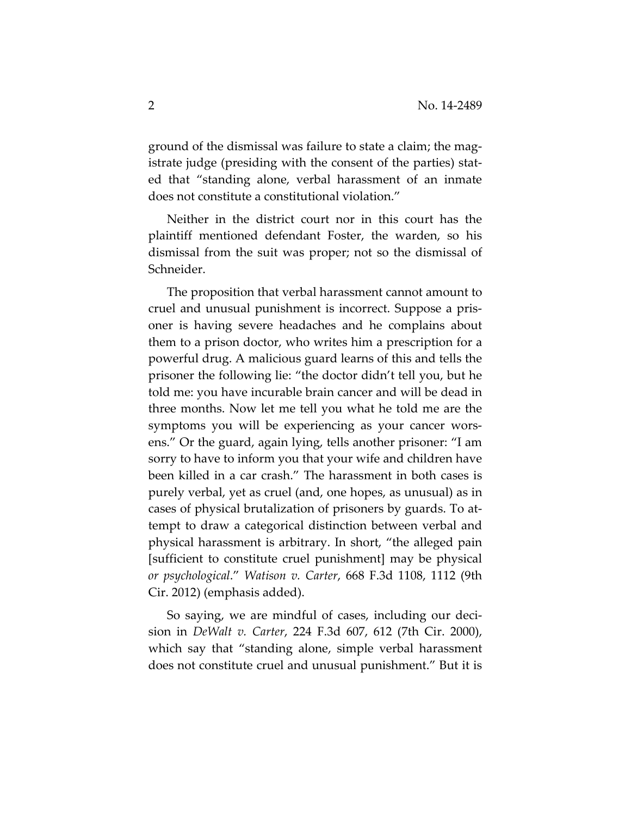ground of the dismissal was failure to state a claim; the magistrate judge (presiding with the consent of the parties) stated that "standing alone, verbal harassment of an inmate does not constitute a constitutional violation."

Neither in the district court nor in this court has the plaintiff mentioned defendant Foster, the warden, so his dismissal from the suit was proper; not so the dismissal of Schneider.

The proposition that verbal harassment cannot amount to cruel and unusual punishment is incorrect. Suppose a prisoner is having severe headaches and he complains about them to a prison doctor, who writes him a prescription for a powerful drug. A malicious guard learns of this and tells the prisoner the following lie: "the doctor didn't tell you, but he told me: you have incurable brain cancer and will be dead in three months. Now let me tell you what he told me are the symptoms you will be experiencing as your cancer worsens." Or the guard, again lying, tells another prisoner: "I am sorry to have to inform you that your wife and children have been killed in a car crash." The harassment in both cases is purely verbal, yet as cruel (and, one hopes, as unusual) as in cases of physical brutalization of prisoners by guards. To attempt to draw a categorical distinction between verbal and physical harassment is arbitrary. In short, "the alleged pain [sufficient to constitute cruel punishment] may be physical *or psychological*." *Watison v. Carter*, 668 F.3d 1108, 1112 (9th Cir. 2012) (emphasis added).

So saying, we are mindful of cases, including our decision in *DeWalt v. Carter*, 224 F.3d 607, 612 (7th Cir. 2000), which say that "standing alone, simple verbal harassment does not constitute cruel and unusual punishment." But it is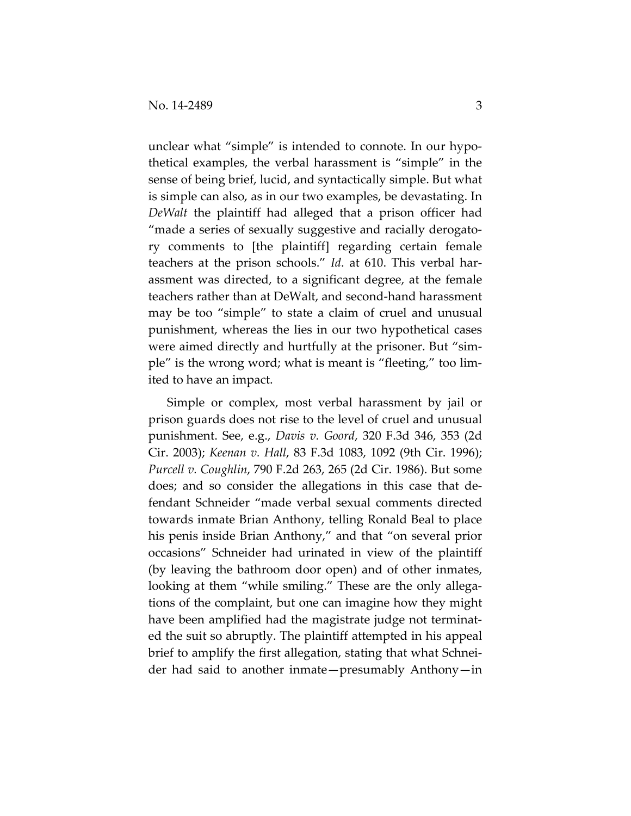unclear what "simple" is intended to connote. In our hypothetical examples, the verbal harassment is "simple" in the sense of being brief, lucid, and syntactically simple. But what is simple can also, as in our two examples, be devastating. In *DeWalt* the plaintiff had alleged that a prison officer had "made a series of sexually suggestive and racially derogatory comments to [the plaintiff] regarding certain female teachers at the prison schools." *Id*. at 610. This verbal harassment was directed, to a significant degree, at the female teachers rather than at DeWalt, and second-hand harassment may be too "simple" to state a claim of cruel and unusual punishment, whereas the lies in our two hypothetical cases were aimed directly and hurtfully at the prisoner. But "simple" is the wrong word; what is meant is "fleeting," too limited to have an impact.

Simple or complex, most verbal harassment by jail or prison guards does not rise to the level of cruel and unusual punishment. See, e.g., *Davis v. Goord*, 320 F.3d 346, 353 (2d Cir. 2003); *Keenan v. Hall*, 83 F.3d 1083, 1092 (9th Cir. 1996); *Purcell v. Coughlin*, 790 F.2d 263, 265 (2d Cir. 1986). But some does; and so consider the allegations in this case that defendant Schneider "made verbal sexual comments directed towards inmate Brian Anthony, telling Ronald Beal to place his penis inside Brian Anthony," and that "on several prior occasions" Schneider had urinated in view of the plaintiff (by leaving the bathroom door open) and of other inmates, looking at them "while smiling." These are the only allegations of the complaint, but one can imagine how they might have been amplified had the magistrate judge not terminated the suit so abruptly. The plaintiff attempted in his appeal brief to amplify the first allegation, stating that what Schneider had said to another inmate—presumably Anthony—in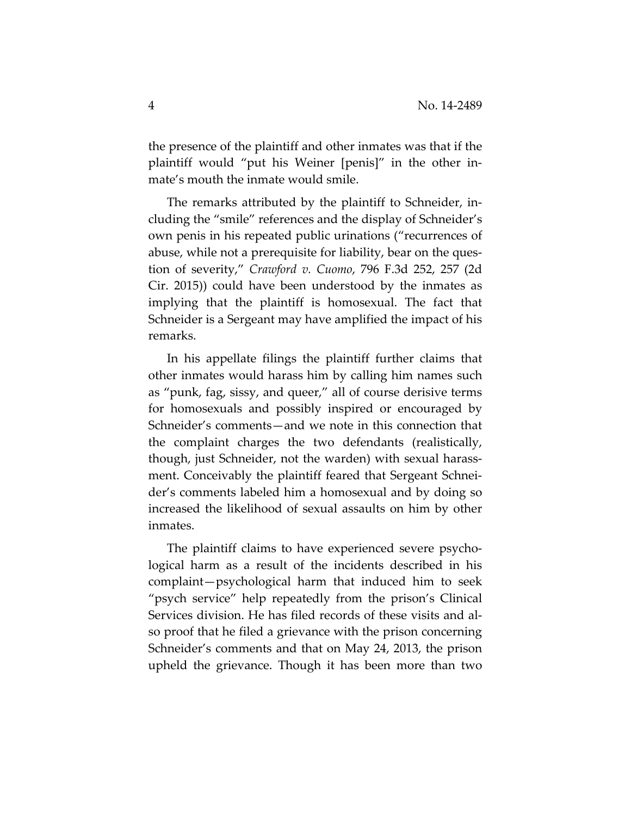the presence of the plaintiff and other inmates was that if the plaintiff would "put his Weiner [penis]" in the other inmate's mouth the inmate would smile.

The remarks attributed by the plaintiff to Schneider, including the "smile" references and the display of Schneider's own penis in his repeated public urinations ("recurrences of abuse, while not a prerequisite for liability, bear on the question of severity," *Crawford v. Cuomo*, 796 F.3d 252, 257 (2d Cir. 2015)) could have been understood by the inmates as implying that the plaintiff is homosexual. The fact that Schneider is a Sergeant may have amplified the impact of his remarks.

In his appellate filings the plaintiff further claims that other inmates would harass him by calling him names such as "punk, fag, sissy, and queer," all of course derisive terms for homosexuals and possibly inspired or encouraged by Schneider's comments—and we note in this connection that the complaint charges the two defendants (realistically, though, just Schneider, not the warden) with sexual harassment. Conceivably the plaintiff feared that Sergeant Schneider's comments labeled him a homosexual and by doing so increased the likelihood of sexual assaults on him by other inmates.

The plaintiff claims to have experienced severe psychological harm as a result of the incidents described in his complaint—psychological harm that induced him to seek "psych service" help repeatedly from the prison's Clinical Services division. He has filed records of these visits and also proof that he filed a grievance with the prison concerning Schneider's comments and that on May 24, 2013, the prison upheld the grievance. Though it has been more than two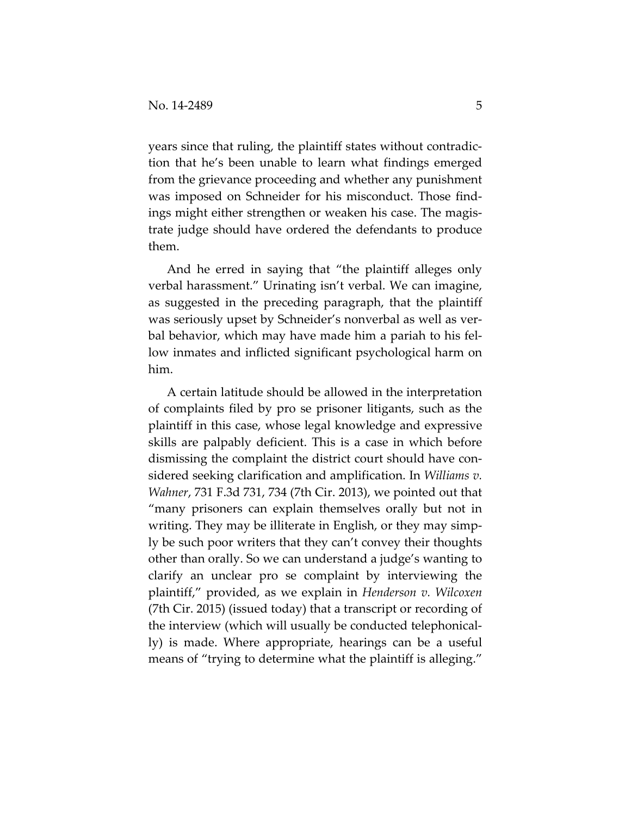years since that ruling, the plaintiff states without contradiction that he's been unable to learn what findings emerged from the grievance proceeding and whether any punishment was imposed on Schneider for his misconduct. Those findings might either strengthen or weaken his case. The magistrate judge should have ordered the defendants to produce them.

And he erred in saying that "the plaintiff alleges only verbal harassment." Urinating isn't verbal. We can imagine, as suggested in the preceding paragraph, that the plaintiff was seriously upset by Schneider's nonverbal as well as verbal behavior, which may have made him a pariah to his fellow inmates and inflicted significant psychological harm on him.

A certain latitude should be allowed in the interpretation of complaints filed by pro se prisoner litigants, such as the plaintiff in this case, whose legal knowledge and expressive skills are palpably deficient. This is a case in which before dismissing the complaint the district court should have considered seeking clarification and amplification. In *Williams v. Wahner*, 731 F.3d 731, 734 (7th Cir. 2013), we pointed out that "many prisoners can explain themselves orally but not in writing. They may be illiterate in English, or they may simply be such poor writers that they can't convey their thoughts other than orally. So we can understand a judge's wanting to clarify an unclear pro se complaint by interviewing the plaintiff," provided, as we explain in *Henderson v. Wilcoxen* (7th Cir. 2015) (issued today) that a transcript or recording of the interview (which will usually be conducted telephonically) is made. Where appropriate, hearings can be a useful means of "trying to determine what the plaintiff is alleging."